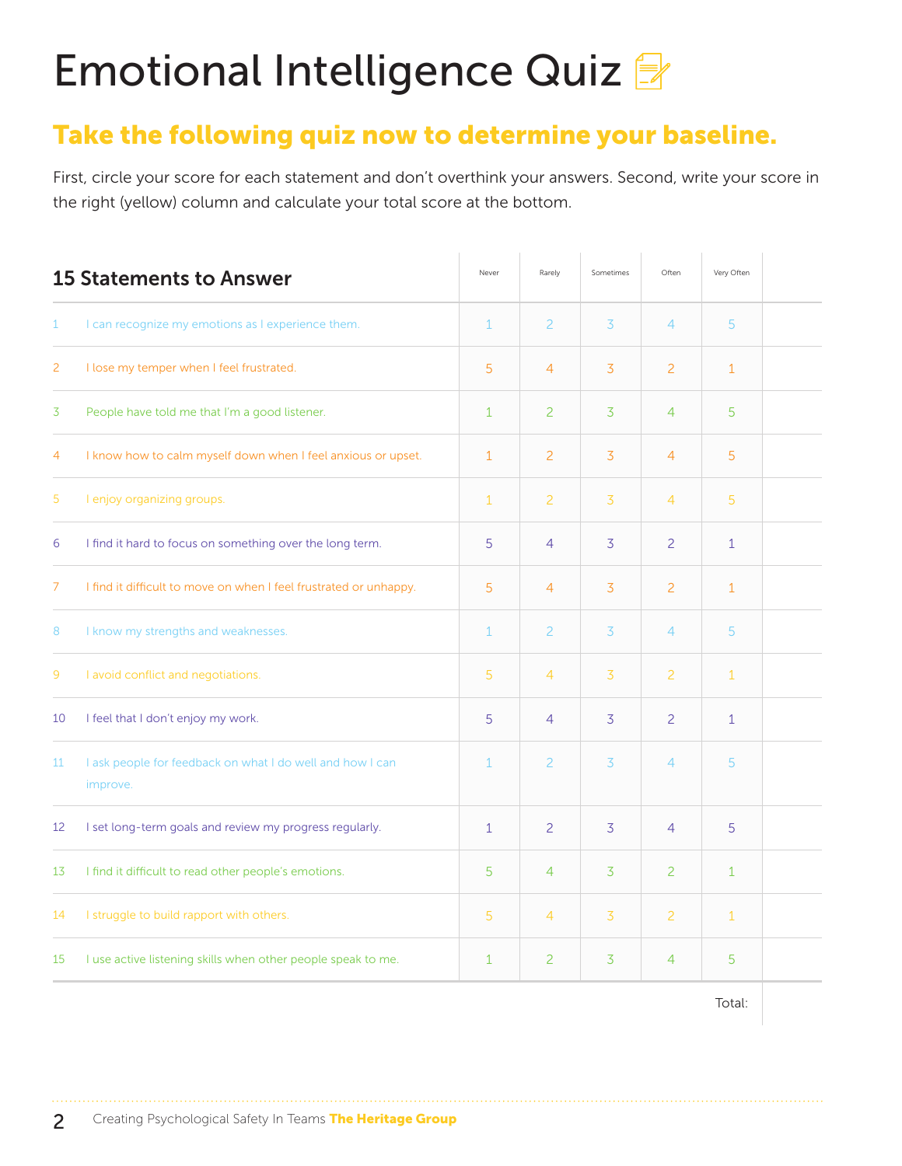# Emotional Intelligence Quiz

### Take the following quiz now to determine your baseline.

First, circle your score for each statement and don't overthink your answers. Second, write your score in the right (yellow) column and calculate your total score at the bottom.

|                                                                       | Never                          | Rarely         | Sometimes      | Often          | Very Often   |  |
|-----------------------------------------------------------------------|--------------------------------|----------------|----------------|----------------|--------------|--|
| I can recognize my emotions as I experience them.                     | $\mathbf{1}$                   | $\overline{c}$ | 3              | $\overline{4}$ | 5            |  |
| I lose my temper when I feel frustrated.                              | 5                              | $\overline{4}$ | 3              | $\overline{2}$ | $\mathbf{1}$ |  |
| People have told me that I'm a good listener.                         | $\mathbf{1}$                   | $\overline{2}$ | 3              | $\overline{4}$ | 5            |  |
| I know how to calm myself down when I feel anxious or upset.          | $\mathbf{1}$                   | $\overline{2}$ | 3              | $\overline{4}$ | 5            |  |
| I enjoy organizing groups.                                            | $\mathbf{1}$                   | $\overline{c}$ | 3              | 4              | 5            |  |
| I find it hard to focus on something over the long term.              | 5                              | $\overline{4}$ | $\overline{3}$ | $\overline{c}$ | $\mathbf{1}$ |  |
| I find it difficult to move on when I feel frustrated or unhappy.     | 5                              | $\overline{4}$ | 3              | $\overline{c}$ | $\mathbf{1}$ |  |
| I know my strengths and weaknesses.                                   | $\mathbf{1}$                   | $\overline{c}$ | 3              | 4              | 5            |  |
| I avoid conflict and negotiations.                                    | 5                              | $\overline{4}$ | 3              | $\overline{2}$ | $\mathbf{1}$ |  |
| I feel that I don't enjoy my work.                                    | 5                              | $\overline{4}$ | $\overline{3}$ | $\overline{c}$ | $\mathbf{1}$ |  |
| I ask people for feedback on what I do well and how I can<br>improve. | $\mathbf{1}$                   | 2              | 3              | 4              | 5            |  |
| I set long-term goals and review my progress regularly.               | $\mathbf{1}$                   | $\overline{c}$ | 3              | $\overline{4}$ | 5            |  |
| I find it difficult to read other people's emotions.                  | 5                              | $\overline{4}$ | 3              | $\overline{2}$ | $\mathbf{1}$ |  |
| I struggle to build rapport with others.                              | 5                              | $\overline{4}$ | $\overline{3}$ | $\overline{2}$ | $\mathbf{1}$ |  |
| I use active listening skills when other people speak to me.          | $\mathbf{1}$                   | 2              | $\overline{3}$ | 4              | 5            |  |
|                                                                       | <b>15 Statements to Answer</b> |                |                |                |              |  |

Total: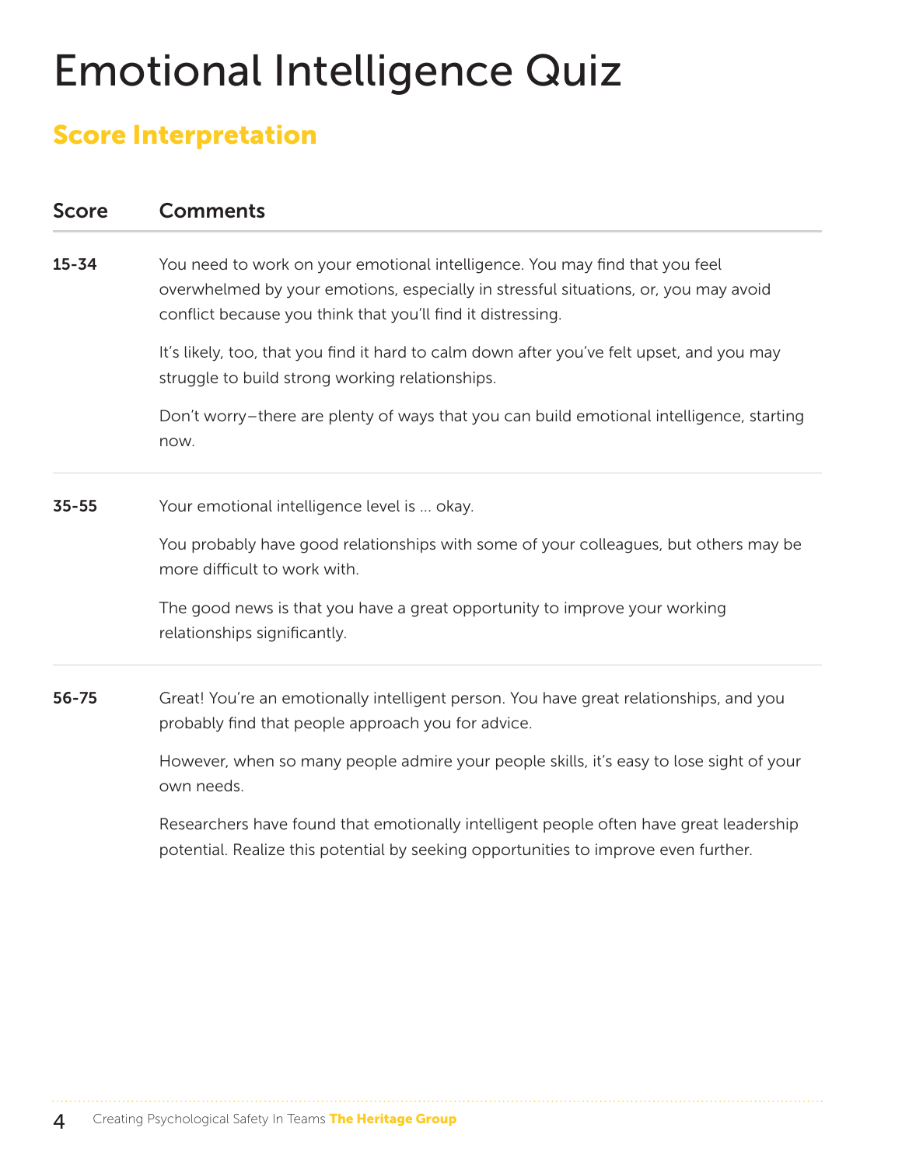## Emotional Intelligence Quiz

### Score Interpretation

#### Score Comments

**15-34** You need to work on your emotional intelligence. You may find that you feel overwhelmed by your emotions, especially in stressful situations, or, you may avoid conflict because you think that you'll find it distressing.

> It's likely, too, that you find it hard to calm down after you've felt upset, and you may struggle to build strong working relationships.

Don't worry–there are plenty of ways that you can build emotional intelligence, starting now.

**35-55** Your emotional intelligence level is ... okay.

You probably have good relationships with some of your colleagues, but others may be more difficult to work with.

The good news is that you have a great opportunity to improve your working relationships significantly.

56-75 Great! You're an emotionally intelligent person. You have great relationships, and you probably find that people approach you for advice.

> However, when so many people admire your people skills, it's easy to lose sight of your own needs.

> Researchers have found that emotionally intelligent people often have great leadership potential. Realize this potential by seeking opportunities to improve even further.